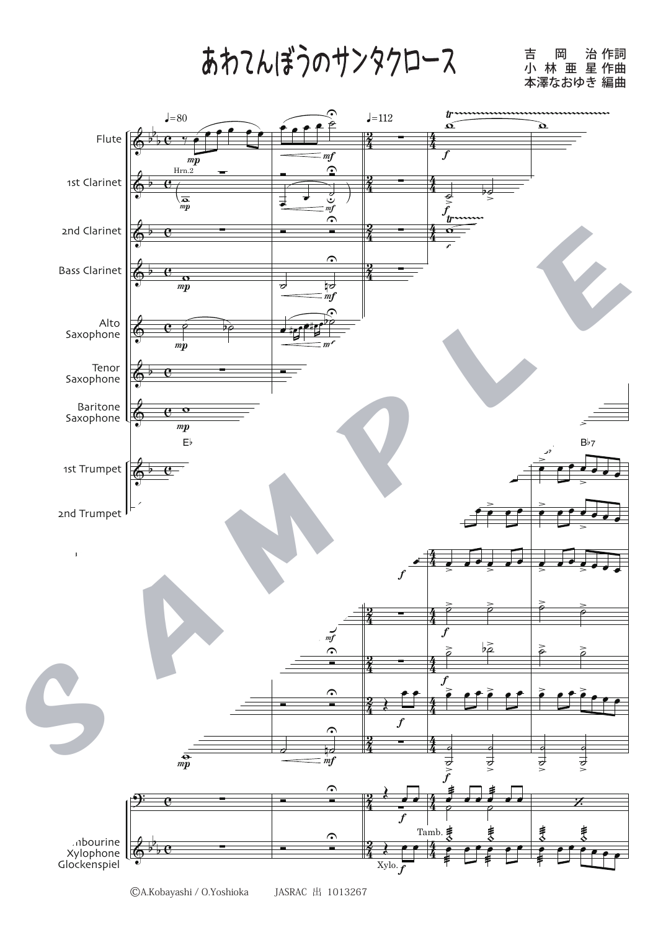あわてんぼうのサンタクロース